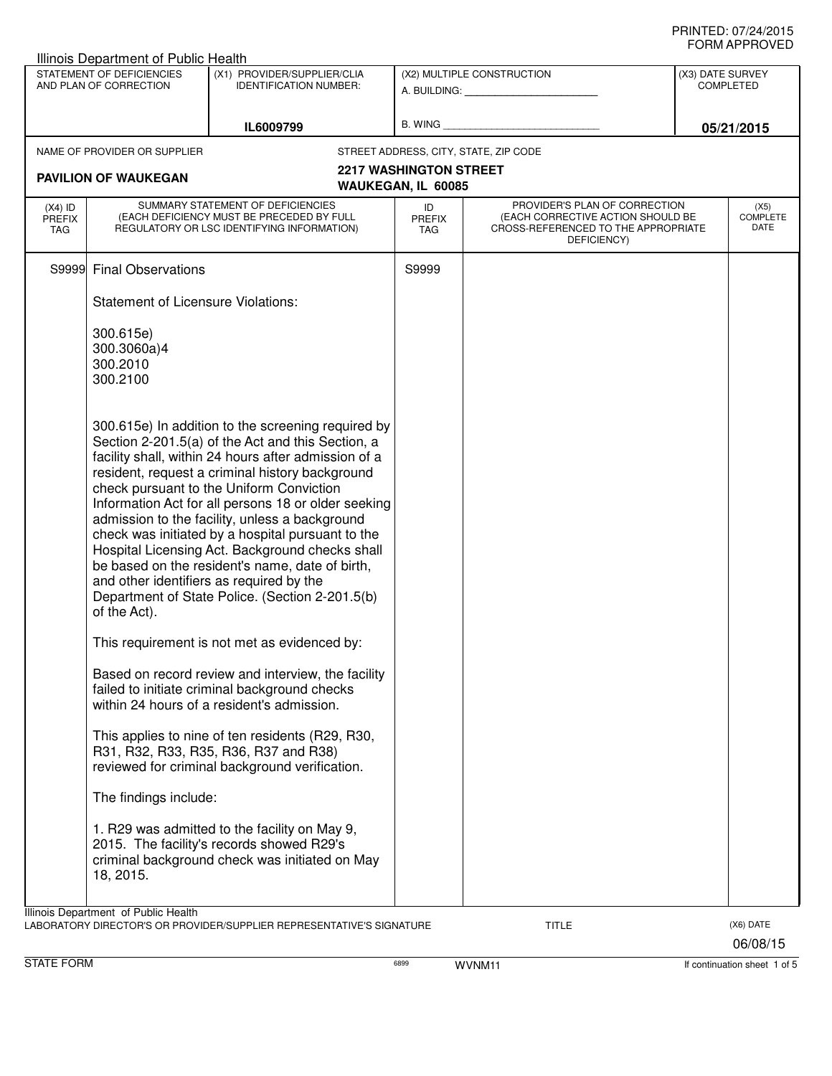|                             | Illinois Department of Public Health<br>STATEMENT OF DEFICIENCIES | (X1) PROVIDER/SUPPLIER/CLIA                                                                           |                                       | (X2) MULTIPLE CONSTRUCTION                                               | (X3) DATE SURVEY |
|-----------------------------|-------------------------------------------------------------------|-------------------------------------------------------------------------------------------------------|---------------------------------------|--------------------------------------------------------------------------|------------------|
| AND PLAN OF CORRECTION      |                                                                   | <b>IDENTIFICATION NUMBER:</b>                                                                         |                                       |                                                                          | <b>COMPLETED</b> |
|                             |                                                                   |                                                                                                       |                                       |                                                                          |                  |
|                             |                                                                   | IL6009799                                                                                             |                                       |                                                                          | 05/21/2015       |
|                             | NAME OF PROVIDER OR SUPPLIER                                      |                                                                                                       | STREET ADDRESS, CITY, STATE, ZIP CODE |                                                                          |                  |
|                             |                                                                   |                                                                                                       | <b>2217 WASHINGTON STREET</b>         |                                                                          |                  |
|                             | <b>PAVILION OF WAUKEGAN</b>                                       |                                                                                                       | WAUKEGAN, IL 60085                    |                                                                          |                  |
| $(X4)$ ID                   |                                                                   | SUMMARY STATEMENT OF DEFICIENCIES                                                                     | ID                                    | PROVIDER'S PLAN OF CORRECTION                                            | (X5)             |
| <b>PREFIX</b><br><b>TAG</b> |                                                                   | (EACH DEFICIENCY MUST BE PRECEDED BY FULL<br>REGULATORY OR LSC IDENTIFYING INFORMATION)               | <b>PREFIX</b><br>TAG                  | (EACH CORRECTIVE ACTION SHOULD BE<br>CROSS-REFERENCED TO THE APPROPRIATE | COMPLETE<br>DATE |
|                             |                                                                   |                                                                                                       |                                       | DEFICIENCY)                                                              |                  |
|                             | S9999 Final Observations                                          |                                                                                                       | S9999                                 |                                                                          |                  |
|                             |                                                                   |                                                                                                       |                                       |                                                                          |                  |
|                             | <b>Statement of Licensure Violations:</b>                         |                                                                                                       |                                       |                                                                          |                  |
|                             | 300.615e)                                                         |                                                                                                       |                                       |                                                                          |                  |
|                             | 300.3060a)4                                                       |                                                                                                       |                                       |                                                                          |                  |
|                             | 300.2010                                                          |                                                                                                       |                                       |                                                                          |                  |
|                             | 300.2100                                                          |                                                                                                       |                                       |                                                                          |                  |
|                             |                                                                   |                                                                                                       |                                       |                                                                          |                  |
|                             |                                                                   | 300.615e) In addition to the screening required by                                                    |                                       |                                                                          |                  |
|                             |                                                                   | Section 2-201.5(a) of the Act and this Section, a                                                     |                                       |                                                                          |                  |
|                             |                                                                   | facility shall, within 24 hours after admission of a                                                  |                                       |                                                                          |                  |
|                             |                                                                   | resident, request a criminal history background                                                       |                                       |                                                                          |                  |
|                             |                                                                   | check pursuant to the Uniform Conviction                                                              |                                       |                                                                          |                  |
|                             |                                                                   | Information Act for all persons 18 or older seeking<br>admission to the facility, unless a background |                                       |                                                                          |                  |
|                             |                                                                   | check was initiated by a hospital pursuant to the                                                     |                                       |                                                                          |                  |
|                             |                                                                   | Hospital Licensing Act. Background checks shall                                                       |                                       |                                                                          |                  |
|                             |                                                                   | be based on the resident's name, date of birth,                                                       |                                       |                                                                          |                  |
|                             |                                                                   | and other identifiers as required by the                                                              |                                       |                                                                          |                  |
|                             |                                                                   | Department of State Police. (Section 2-201.5(b)                                                       |                                       |                                                                          |                  |
|                             | of the Act).                                                      |                                                                                                       |                                       |                                                                          |                  |
|                             |                                                                   | This requirement is not met as evidenced by:                                                          |                                       |                                                                          |                  |
|                             |                                                                   | Based on record review and interview, the facility                                                    |                                       |                                                                          |                  |
|                             |                                                                   | failed to initiate criminal background checks                                                         |                                       |                                                                          |                  |
|                             |                                                                   | within 24 hours of a resident's admission.                                                            |                                       |                                                                          |                  |
|                             |                                                                   | This applies to nine of ten residents (R29, R30,                                                      |                                       |                                                                          |                  |
|                             |                                                                   | R31, R32, R33, R35, R36, R37 and R38)                                                                 |                                       |                                                                          |                  |
|                             |                                                                   | reviewed for criminal background verification.                                                        |                                       |                                                                          |                  |
|                             | The findings include:                                             |                                                                                                       |                                       |                                                                          |                  |
|                             |                                                                   |                                                                                                       |                                       |                                                                          |                  |
|                             |                                                                   | 1. R29 was admitted to the facility on May 9,                                                         |                                       |                                                                          |                  |
|                             |                                                                   | 2015. The facility's records showed R29's                                                             |                                       |                                                                          |                  |
|                             |                                                                   | criminal background check was initiated on May                                                        |                                       |                                                                          |                  |
|                             | 18, 2015.                                                         |                                                                                                       |                                       |                                                                          |                  |
|                             |                                                                   |                                                                                                       |                                       |                                                                          |                  |
|                             |                                                                   |                                                                                                       |                                       |                                                                          |                  |
|                             | Illinois Department of Public Health                              | LABORATORY DIRECTOR'S OR PROVIDER/SUPPLIER REPRESENTATIVE'S SIGNATURE                                 |                                       | <b>TITLE</b>                                                             | (X6) DATE        |

STATE FORM **EXAMPLE 1 OF STATE FORM** 6899 6899 WVNM11 **If continuation sheet 1 of 5**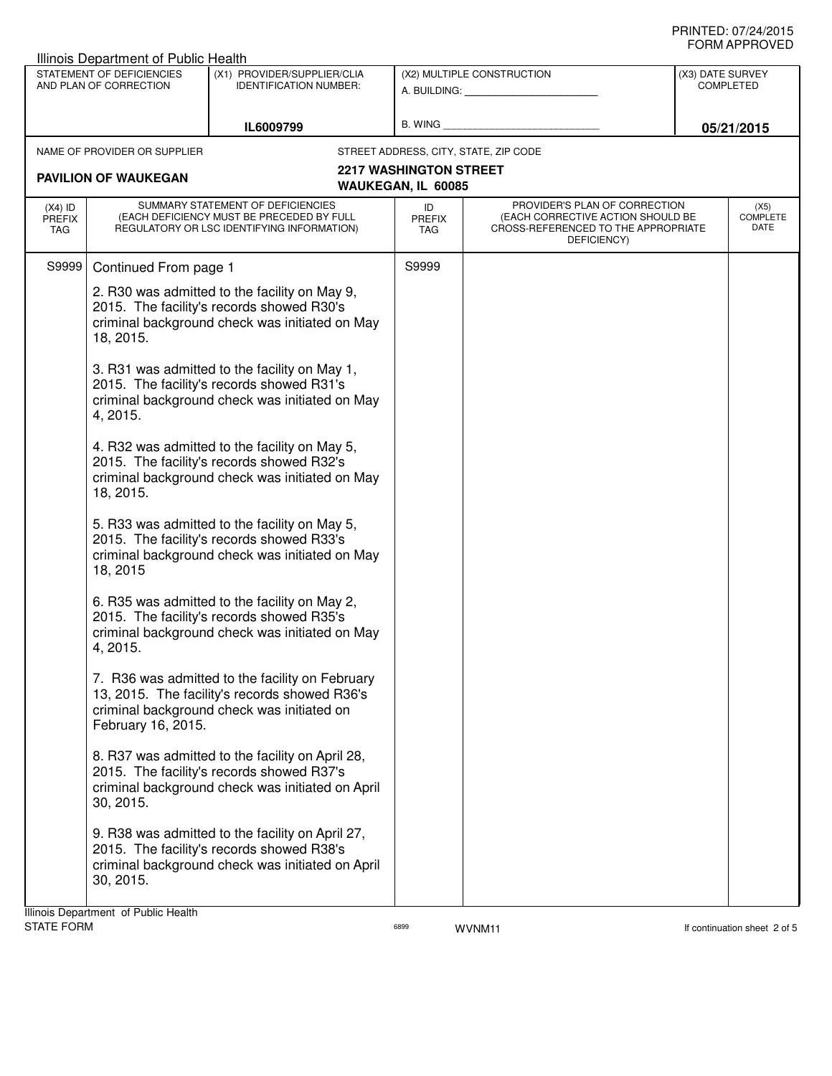| <b>Illinois Department of Public Health</b>         |                                                                                                                                                                                                                                                         |                                                                                                                                                   |                               |                                                                                                                          |                                      |                                 |
|-----------------------------------------------------|---------------------------------------------------------------------------------------------------------------------------------------------------------------------------------------------------------------------------------------------------------|---------------------------------------------------------------------------------------------------------------------------------------------------|-------------------------------|--------------------------------------------------------------------------------------------------------------------------|--------------------------------------|---------------------------------|
| STATEMENT OF DEFICIENCIES<br>AND PLAN OF CORRECTION |                                                                                                                                                                                                                                                         | (X1) PROVIDER/SUPPLIER/CLIA<br><b>IDENTIFICATION NUMBER:</b>                                                                                      |                               | (X2) MULTIPLE CONSTRUCTION                                                                                               | (X3) DATE SURVEY<br><b>COMPLETED</b> |                                 |
|                                                     |                                                                                                                                                                                                                                                         |                                                                                                                                                   | A. BUILDING: A.               |                                                                                                                          |                                      |                                 |
| IL6009799                                           |                                                                                                                                                                                                                                                         | B. WING                                                                                                                                           |                               |                                                                                                                          | 05/21/2015                           |                                 |
|                                                     | NAME OF PROVIDER OR SUPPLIER                                                                                                                                                                                                                            |                                                                                                                                                   |                               | STREET ADDRESS, CITY, STATE, ZIP CODE                                                                                    |                                      |                                 |
|                                                     | <b>PAVILION OF WAUKEGAN</b>                                                                                                                                                                                                                             |                                                                                                                                                   | <b>2217 WASHINGTON STREET</b> |                                                                                                                          |                                      |                                 |
|                                                     |                                                                                                                                                                                                                                                         |                                                                                                                                                   | WAUKEGAN, IL 60085            |                                                                                                                          |                                      |                                 |
| $(X4)$ ID<br><b>PREFIX</b><br>TAG                   |                                                                                                                                                                                                                                                         | SUMMARY STATEMENT OF DEFICIENCIES<br>(EACH DEFICIENCY MUST BE PRECEDED BY FULL<br>REGULATORY OR LSC IDENTIFYING INFORMATION)                      | ID<br>PREFIX<br>TAG           | PROVIDER'S PLAN OF CORRECTION<br>(EACH CORRECTIVE ACTION SHOULD BE<br>CROSS-REFERENCED TO THE APPROPRIATE<br>DEFICIENCY) |                                      | (X5)<br><b>COMPLETE</b><br>DATE |
| S9999                                               | Continued From page 1                                                                                                                                                                                                                                   |                                                                                                                                                   | S9999                         |                                                                                                                          |                                      |                                 |
|                                                     | 2. R30 was admitted to the facility on May 9,<br>2015. The facility's records showed R30's<br>criminal background check was initiated on May<br>18, 2015.<br>3. R31 was admitted to the facility on May 1,<br>2015. The facility's records showed R31's |                                                                                                                                                   |                               |                                                                                                                          |                                      |                                 |
|                                                     | 4, 2015.                                                                                                                                                                                                                                                | criminal background check was initiated on May                                                                                                    |                               |                                                                                                                          |                                      |                                 |
|                                                     | 18, 2015.                                                                                                                                                                                                                                               | 4. R32 was admitted to the facility on May 5,<br>2015. The facility's records showed R32's<br>criminal background check was initiated on May      |                               |                                                                                                                          |                                      |                                 |
|                                                     | 18, 2015                                                                                                                                                                                                                                                | 5. R33 was admitted to the facility on May 5,<br>2015. The facility's records showed R33's<br>criminal background check was initiated on May      |                               |                                                                                                                          |                                      |                                 |
|                                                     | 4, 2015.                                                                                                                                                                                                                                                | 6. R35 was admitted to the facility on May 2,<br>2015. The facility's records showed R35's<br>criminal background check was initiated on May      |                               |                                                                                                                          |                                      |                                 |
|                                                     | February 16, 2015.                                                                                                                                                                                                                                      | 7. R36 was admitted to the facility on February<br>13, 2015. The facility's records showed R36's<br>criminal background check was initiated on    |                               |                                                                                                                          |                                      |                                 |
|                                                     | 30, 2015.                                                                                                                                                                                                                                               | 8. R37 was admitted to the facility on April 28,<br>2015. The facility's records showed R37's<br>criminal background check was initiated on April |                               |                                                                                                                          |                                      |                                 |
|                                                     | 30, 2015.                                                                                                                                                                                                                                               | 9. R38 was admitted to the facility on April 27,<br>2015. The facility's records showed R38's<br>criminal background check was initiated on April |                               |                                                                                                                          |                                      |                                 |
|                                                     | llinois Denartment, of Public Health                                                                                                                                                                                                                    |                                                                                                                                                   |                               |                                                                                                                          |                                      |                                 |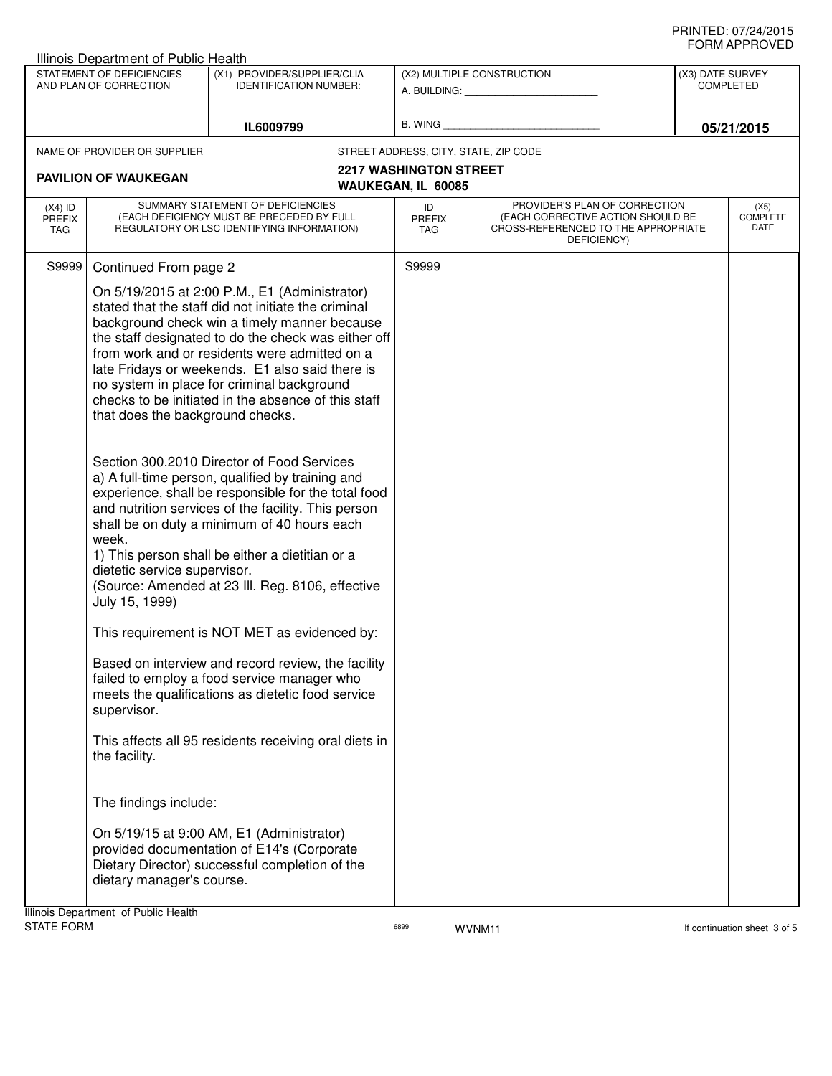|                                                     | Illinois Department of Public Health                                                                                                                 |                                                                                                                                                                                                                                                                                                                                                                                                                                                                                                                                                                                                                                                                                                                                                                                                                                                                                                                                                                                                                                                               |                                                     |                                                                                                                          |                                      | ᅴᄖᄞᇊᆝᆝᇅ៴ᄂ                       |
|-----------------------------------------------------|------------------------------------------------------------------------------------------------------------------------------------------------------|---------------------------------------------------------------------------------------------------------------------------------------------------------------------------------------------------------------------------------------------------------------------------------------------------------------------------------------------------------------------------------------------------------------------------------------------------------------------------------------------------------------------------------------------------------------------------------------------------------------------------------------------------------------------------------------------------------------------------------------------------------------------------------------------------------------------------------------------------------------------------------------------------------------------------------------------------------------------------------------------------------------------------------------------------------------|-----------------------------------------------------|--------------------------------------------------------------------------------------------------------------------------|--------------------------------------|---------------------------------|
| STATEMENT OF DEFICIENCIES<br>AND PLAN OF CORRECTION |                                                                                                                                                      | (X1) PROVIDER/SUPPLIER/CLIA<br><b>IDENTIFICATION NUMBER:</b>                                                                                                                                                                                                                                                                                                                                                                                                                                                                                                                                                                                                                                                                                                                                                                                                                                                                                                                                                                                                  | (X2) MULTIPLE CONSTRUCTION                          |                                                                                                                          | (X3) DATE SURVEY<br><b>COMPLETED</b> |                                 |
| IL6009799                                           |                                                                                                                                                      | B. WING <b>Example 2008</b>                                                                                                                                                                                                                                                                                                                                                                                                                                                                                                                                                                                                                                                                                                                                                                                                                                                                                                                                                                                                                                   |                                                     | 05/21/2015                                                                                                               |                                      |                                 |
|                                                     | NAME OF PROVIDER OR SUPPLIER                                                                                                                         |                                                                                                                                                                                                                                                                                                                                                                                                                                                                                                                                                                                                                                                                                                                                                                                                                                                                                                                                                                                                                                                               |                                                     | STREET ADDRESS, CITY, STATE, ZIP CODE                                                                                    |                                      |                                 |
|                                                     | <b>PAVILION OF WAUKEGAN</b>                                                                                                                          |                                                                                                                                                                                                                                                                                                                                                                                                                                                                                                                                                                                                                                                                                                                                                                                                                                                                                                                                                                                                                                                               | <b>2217 WASHINGTON STREET</b><br>WAUKEGAN, IL 60085 |                                                                                                                          |                                      |                                 |
| $(X4)$ ID<br><b>PREFIX</b><br>TAG                   |                                                                                                                                                      | SUMMARY STATEMENT OF DEFICIENCIES<br>(EACH DEFICIENCY MUST BE PRECEDED BY FULL<br>REGULATORY OR LSC IDENTIFYING INFORMATION)                                                                                                                                                                                                                                                                                                                                                                                                                                                                                                                                                                                                                                                                                                                                                                                                                                                                                                                                  | ID<br>PREFIX<br>TAG                                 | PROVIDER'S PLAN OF CORRECTION<br>(EACH CORRECTIVE ACTION SHOULD BE<br>CROSS-REFERENCED TO THE APPROPRIATE<br>DEFICIENCY) |                                      | (X5)<br><b>COMPLETE</b><br>DATE |
| S9999                                               | Continued From page 2                                                                                                                                |                                                                                                                                                                                                                                                                                                                                                                                                                                                                                                                                                                                                                                                                                                                                                                                                                                                                                                                                                                                                                                                               | S9999                                               |                                                                                                                          |                                      |                                 |
|                                                     | that does the background checks.<br>week.<br>dietetic service supervisor.<br>July 15, 1999)<br>supervisor.<br>the facility.<br>The findings include: | On 5/19/2015 at 2:00 P.M., E1 (Administrator)<br>stated that the staff did not initiate the criminal<br>background check win a timely manner because<br>the staff designated to do the check was either off<br>from work and or residents were admitted on a<br>late Fridays or weekends. E1 also said there is<br>no system in place for criminal background<br>checks to be initiated in the absence of this staff<br>Section 300.2010 Director of Food Services<br>a) A full-time person, qualified by training and<br>experience, shall be responsible for the total food<br>and nutrition services of the facility. This person<br>shall be on duty a minimum of 40 hours each<br>1) This person shall be either a dietitian or a<br>(Source: Amended at 23 III. Reg. 8106, effective<br>This requirement is NOT MET as evidenced by:<br>Based on interview and record review, the facility<br>failed to employ a food service manager who<br>meets the qualifications as dietetic food service<br>This affects all 95 residents receiving oral diets in |                                                     |                                                                                                                          |                                      |                                 |
|                                                     |                                                                                                                                                      |                                                                                                                                                                                                                                                                                                                                                                                                                                                                                                                                                                                                                                                                                                                                                                                                                                                                                                                                                                                                                                                               |                                                     |                                                                                                                          |                                      |                                 |
|                                                     | dietary manager's course.                                                                                                                            | On 5/19/15 at 9:00 AM, E1 (Administrator)<br>provided documentation of E14's (Corporate<br>Dietary Director) successful completion of the                                                                                                                                                                                                                                                                                                                                                                                                                                                                                                                                                                                                                                                                                                                                                                                                                                                                                                                     |                                                     |                                                                                                                          |                                      |                                 |
|                                                     | Ilinois Denartment of Public Health                                                                                                                  |                                                                                                                                                                                                                                                                                                                                                                                                                                                                                                                                                                                                                                                                                                                                                                                                                                                                                                                                                                                                                                                               |                                                     |                                                                                                                          |                                      |                                 |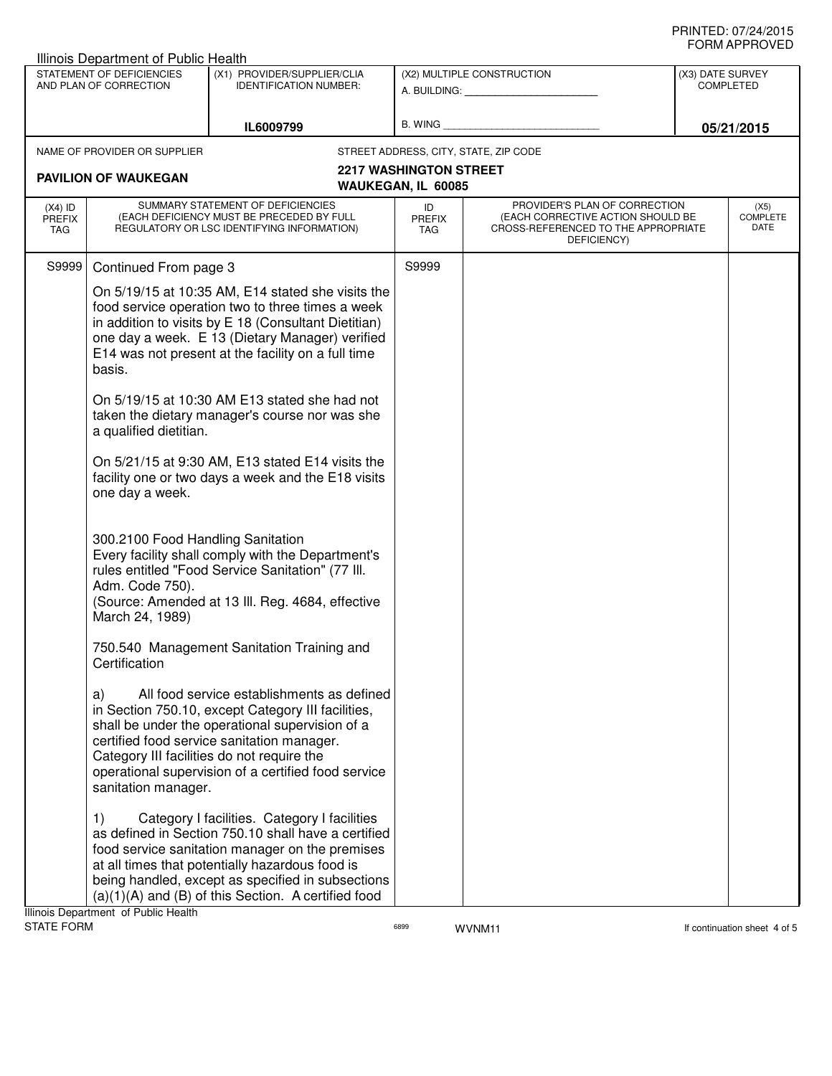| Illinois Department of Public Health                |                                                                                                                                                                                                                                                                                  |                                                                                                                                                                                                                                                                                                                       |                                                            |                                                                                                                          |                                      |                                 |
|-----------------------------------------------------|----------------------------------------------------------------------------------------------------------------------------------------------------------------------------------------------------------------------------------------------------------------------------------|-----------------------------------------------------------------------------------------------------------------------------------------------------------------------------------------------------------------------------------------------------------------------------------------------------------------------|------------------------------------------------------------|--------------------------------------------------------------------------------------------------------------------------|--------------------------------------|---------------------------------|
| STATEMENT OF DEFICIENCIES<br>AND PLAN OF CORRECTION |                                                                                                                                                                                                                                                                                  | (X1) PROVIDER/SUPPLIER/CLIA<br><b>IDENTIFICATION NUMBER:</b>                                                                                                                                                                                                                                                          | (X2) MULTIPLE CONSTRUCTION<br>A. BUILDING: A. BUILDING:    |                                                                                                                          | (X3) DATE SURVEY<br><b>COMPLETED</b> |                                 |
| IL6009799                                           |                                                                                                                                                                                                                                                                                  | B. WING                                                                                                                                                                                                                                                                                                               |                                                            | 05/21/2015                                                                                                               |                                      |                                 |
|                                                     | NAME OF PROVIDER OR SUPPLIER                                                                                                                                                                                                                                                     |                                                                                                                                                                                                                                                                                                                       |                                                            | STREET ADDRESS, CITY, STATE, ZIP CODE                                                                                    |                                      |                                 |
|                                                     | <b>PAVILION OF WAUKEGAN</b>                                                                                                                                                                                                                                                      |                                                                                                                                                                                                                                                                                                                       | <b>2217 WASHINGTON STREET</b><br><b>WAUKEGAN, IL 60085</b> |                                                                                                                          |                                      |                                 |
| $(X4)$ ID<br><b>PREFIX</b><br>TAG                   |                                                                                                                                                                                                                                                                                  | SUMMARY STATEMENT OF DEFICIENCIES<br>(EACH DEFICIENCY MUST BE PRECEDED BY FULL<br>REGULATORY OR LSC IDENTIFYING INFORMATION)                                                                                                                                                                                          | ID<br><b>PREFIX</b><br><b>TAG</b>                          | PROVIDER'S PLAN OF CORRECTION<br>(EACH CORRECTIVE ACTION SHOULD BE<br>CROSS-REFERENCED TO THE APPROPRIATE<br>DEFICIENCY) |                                      | (X5)<br><b>COMPLETE</b><br>DATE |
| S9999                                               | Continued From page 3                                                                                                                                                                                                                                                            |                                                                                                                                                                                                                                                                                                                       | S9999                                                      |                                                                                                                          |                                      |                                 |
|                                                     | On 5/19/15 at 10:35 AM, E14 stated she visits the<br>food service operation two to three times a week<br>in addition to visits by E 18 (Consultant Dietitian)<br>one day a week. E 13 (Dietary Manager) verified<br>E14 was not present at the facility on a full time<br>basis. |                                                                                                                                                                                                                                                                                                                       |                                                            |                                                                                                                          |                                      |                                 |
|                                                     | a qualified dietitian.                                                                                                                                                                                                                                                           | On 5/19/15 at 10:30 AM E13 stated she had not<br>taken the dietary manager's course nor was she                                                                                                                                                                                                                       |                                                            |                                                                                                                          |                                      |                                 |
|                                                     | one day a week.                                                                                                                                                                                                                                                                  | On 5/21/15 at 9:30 AM, E13 stated E14 visits the<br>facility one or two days a week and the E18 visits                                                                                                                                                                                                                |                                                            |                                                                                                                          |                                      |                                 |
|                                                     | 300.2100 Food Handling Sanitation<br>Adm. Code 750).<br>March 24, 1989)                                                                                                                                                                                                          | Every facility shall comply with the Department's<br>rules entitled "Food Service Sanitation" (77 III.<br>(Source: Amended at 13 III. Reg. 4684, effective                                                                                                                                                            |                                                            |                                                                                                                          |                                      |                                 |
|                                                     | Certification                                                                                                                                                                                                                                                                    | 750.540 Management Sanitation Training and                                                                                                                                                                                                                                                                            |                                                            |                                                                                                                          |                                      |                                 |
|                                                     | a)<br>sanitation manager.                                                                                                                                                                                                                                                        | All food service establishments as defined<br>in Section 750.10, except Category III facilities,<br>shall be under the operational supervision of a<br>certified food service sanitation manager.<br>Category III facilities do not require the<br>operational supervision of a certified food service                |                                                            |                                                                                                                          |                                      |                                 |
|                                                     | 1)<br>Illinois Department of Public Health                                                                                                                                                                                                                                       | Category I facilities. Category I facilities<br>as defined in Section 750.10 shall have a certified<br>food service sanitation manager on the premises<br>at all times that potentially hazardous food is<br>being handled, except as specified in subsections<br>(a)(1)(A) and (B) of this Section. A certified food |                                                            |                                                                                                                          |                                      |                                 |